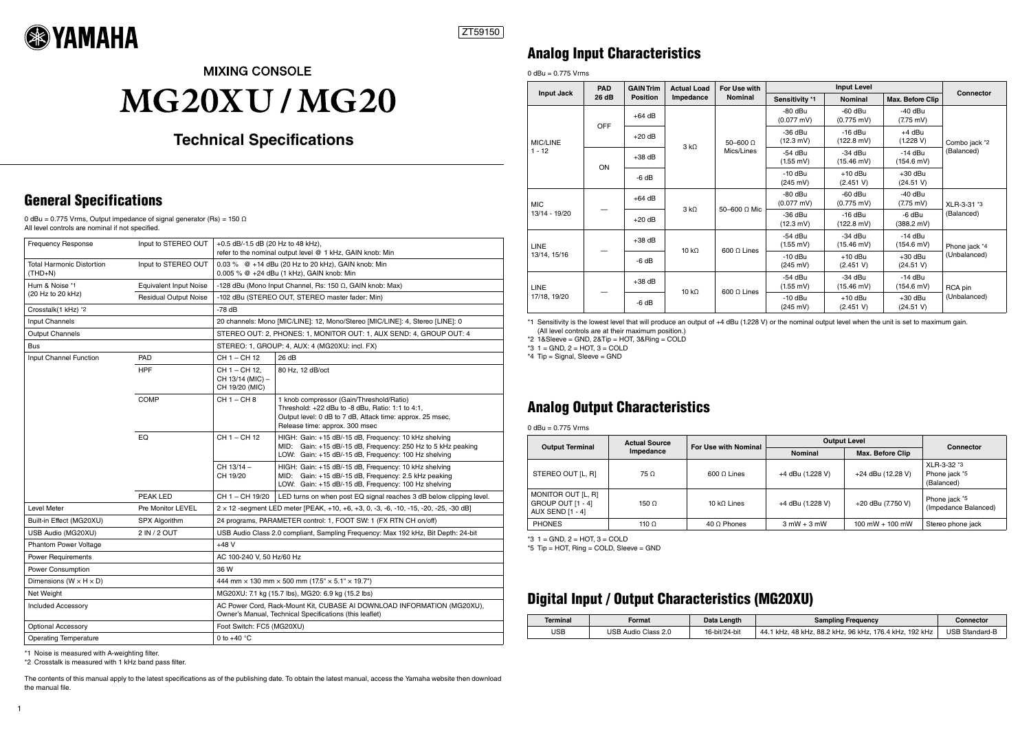### General Specifications

0 dBu = 0.775 Vrms, Output impedance of signal generator (Rs) = 150  $\Omega$ All level controls are nominal if not specified.

\*1 Noise is measured with A-weighting filter.

\*2 Crosstalk is measured with 1 kHz band pass filter.

The contents of this manual apply to the latest specifications as of the publishing date. To obtain the latest manual, access the Yamaha website then download the manual file.

| <b>Frequency Response</b>                     | Input to STEREO OUT           | +0.5 dB/-1.5 dB (20 Hz to 48 kHz),<br>refer to the nominal output level @ 1 kHz, GAIN knob: Min                                    |                                                                                                                                                                                             |  |  |
|-----------------------------------------------|-------------------------------|------------------------------------------------------------------------------------------------------------------------------------|---------------------------------------------------------------------------------------------------------------------------------------------------------------------------------------------|--|--|
| <b>Total Harmonic Distortion</b><br>$(THD+N)$ | Input to STEREO OUT           | 0.03 % @ +14 dBu (20 Hz to 20 kHz), GAIN knob: Min<br>0.005 % @ +24 dBu (1 kHz), GAIN knob: Min                                    |                                                                                                                                                                                             |  |  |
| Hum & Noise *1                                | <b>Equivalent Input Noise</b> | -128 dBu (Mono Input Channel, Rs: 150 $\Omega$ , GAIN knob: Max)                                                                   |                                                                                                                                                                                             |  |  |
| (20 Hz to 20 kHz)                             | <b>Residual Output Noise</b>  | -102 dBu (STEREO OUT, STEREO master fader: Min)                                                                                    |                                                                                                                                                                                             |  |  |
| Crosstalk(1 kHz) *2                           |                               | $-78$ dB                                                                                                                           |                                                                                                                                                                                             |  |  |
| Input Channels                                |                               | 20 channels: Mono [MIC/LINE]: 12, Mono/Stereo [MIC/LINE]: 4, Stereo [LINE]: 0                                                      |                                                                                                                                                                                             |  |  |
| <b>Output Channels</b>                        |                               | STEREO OUT: 2, PHONES: 1, MONITOR OUT: 1, AUX SEND: 4, GROUP OUT: 4                                                                |                                                                                                                                                                                             |  |  |
| <b>Bus</b>                                    |                               | STEREO: 1, GROUP: 4, AUX: 4 (MG20XU: incl. FX)                                                                                     |                                                                                                                                                                                             |  |  |
| Input Channel Function                        | PAD                           | CH 1 - CH 12                                                                                                                       | 26 dB                                                                                                                                                                                       |  |  |
|                                               | <b>HPF</b>                    | CH 1 - CH 12.<br>CH 13/14 (MIC) -<br>CH 19/20 (MIC)                                                                                | 80 Hz, 12 dB/oct                                                                                                                                                                            |  |  |
|                                               | <b>COMP</b>                   | CH 1 - CH 8                                                                                                                        | 1 knob compressor (Gain/Threshold/Ratio)<br>Threshold: +22 dBu to -8 dBu, Ratio: 1:1 to 4:1,<br>Output level: 0 dB to 7 dB, Attack time: approx. 25 msec,<br>Release time: approx. 300 msec |  |  |
|                                               | EQ                            | CH 1 - CH 12                                                                                                                       | HIGH: Gain: +15 dB/-15 dB, Frequency: 10 kHz shelving<br>MID: Gain: +15 dB/-15 dB, Frequency: 250 Hz to 5 kHz peaking<br>LOW: Gain: +15 dB/-15 dB, Frequency: 100 Hz shelving               |  |  |
|                                               |                               | CH 13/14 -<br>CH 19/20                                                                                                             | HIGH: Gain: +15 dB/-15 dB, Frequency: 10 kHz shelving<br>MID: Gain: +15 dB/-15 dB, Frequency: 2.5 kHz peaking<br>LOW: Gain: +15 dB/-15 dB, Frequency: 100 Hz shelving                       |  |  |
|                                               | PEAK LED                      | CH 1 - CH 19/20                                                                                                                    | LED turns on when post EQ signal reaches 3 dB below clipping level.                                                                                                                         |  |  |
| <b>Level Meter</b>                            | <b>Pre Monitor LEVEL</b>      |                                                                                                                                    | $2 \times 12$ -segment LED meter [PEAK, +10, +6, +3, 0, -3, -6, -10, -15, -20, -25, -30 dB]                                                                                                 |  |  |
| Built-in Effect (MG20XU)                      | SPX Algorithm                 | 24 programs, PARAMETER control: 1, FOOT SW: 1 (FX RTN CH on/off)                                                                   |                                                                                                                                                                                             |  |  |
| USB Audio (MG20XU)                            | 2 IN / 2 OUT                  | USB Audio Class 2.0 compliant, Sampling Frequency: Max 192 kHz, Bit Depth: 24-bit                                                  |                                                                                                                                                                                             |  |  |
| Phantom Power Voltage                         |                               | $+48V$                                                                                                                             |                                                                                                                                                                                             |  |  |
| <b>Power Requirements</b>                     |                               | AC 100-240 V, 50 Hz/60 Hz                                                                                                          |                                                                                                                                                                                             |  |  |
| Power Consumption                             |                               | 36 W                                                                                                                               |                                                                                                                                                                                             |  |  |
| Dimensions ( $W \times H \times D$ )          |                               | 444 mm $\times$ 130 mm $\times$ 500 mm (17.5" $\times$ 5.1" $\times$ 19.7")                                                        |                                                                                                                                                                                             |  |  |
| Net Weight                                    |                               | MG20XU: 7.1 kg (15.7 lbs), MG20: 6.9 kg (15.2 lbs)                                                                                 |                                                                                                                                                                                             |  |  |
| <b>Included Accessory</b>                     |                               | AC Power Cord, Rack-Mount Kit, CUBASE AI DOWNLOAD INFORMATION (MG20XU),<br>Owner's Manual, Technical Specifications (this leaflet) |                                                                                                                                                                                             |  |  |
| <b>Optional Accessory</b>                     |                               | Foot Switch: FC5 (MG20XU)                                                                                                          |                                                                                                                                                                                             |  |  |
| <b>Operating Temperature</b>                  |                               | 0 to $+40$ °C                                                                                                                      |                                                                                                                                                                                             |  |  |

### Analog Input Characteristics

 $0$  dBu = 0.775 Vrms

\*1 Sensitivity is the lowest level that will produce an output of +4 dBu (1.228 V) or the nominal output level when the unit is set to maximum gain. (All level controls are at their maximum position.)

\*2 1&Sleeve = GND, 2&Tip = HOT, 3&Ring = COLD

\*3 1 = GND, 2 = HOT, 3 = COLD

\*4 Tip = Signal, Sleeve = GND

### Analog Output Characteristics

 $0$  dBu = 0.775 Vrms

\*3 1 = GND, 2 = HOT, 3 = COLD

\*5 Tip = HOT, Ring = COLD, Sleeve = GND

### Digital Input / Output Characteristics (MG20XU)

| <b>Input Jack</b>                               | <b>PAD</b><br>26 dB | <b>GAIN Trim</b><br><b>Position</b> | <b>Actual Load</b><br>Impedance | For Use with<br><b>Nominal</b>    | <b>Input Level</b>                |                                   |                                   |                               |
|-------------------------------------------------|---------------------|-------------------------------------|---------------------------------|-----------------------------------|-----------------------------------|-----------------------------------|-----------------------------------|-------------------------------|
|                                                 |                     |                                     |                                 |                                   | Sensitivity *1                    | <b>Nominal</b>                    | Max. Before Clip                  | <b>Connector</b>              |
| <b>OFF</b><br><b>MIC/LINE</b><br>$1 - 12$<br>ON |                     | $+64$ dB                            | $3 k\Omega$                     | $50 - 600$ $\Omega$<br>Mics/Lines | $-80$ dBu<br>$(0.077 \text{ mV})$ | $-60$ dBu<br>$(0.775 \text{ mV})$ | $-40$ dBu<br>$(7.75 \text{ mV})$  | Combo jack *2<br>(Balanced)   |
|                                                 |                     | $+20$ dB                            |                                 |                                   | $-36$ dBu<br>$(12.3 \text{ mV})$  | $-16$ dBu<br>$(122.8 \text{ mV})$ | $+4$ dBu<br>(1.228 V)             |                               |
|                                                 |                     | $+38$ dB                            |                                 |                                   | -54 dBu<br>$(1.55 \text{ mV})$    | $-34$ dBu<br>$(15.46 \text{ mV})$ | $-14$ dBu<br>$(154.6 \text{ mV})$ |                               |
|                                                 |                     | $-6 dB$                             |                                 |                                   | $-10$ dBu<br>$(245 \text{ mV})$   | $+10$ dBu<br>(2.451 V)            | $+30$ dBu<br>(24.51 V)            |                               |
| <b>MIC</b><br>13/14 - 19/20                     |                     | $+64$ dB                            | 3 k <sub>0</sub>                | 50-600 $\Omega$ Mic               | -80 dBu<br>$(0.077 \text{ mV})$   | $-60$ dBu<br>$(0.775 \text{ mV})$ | -40 dBu<br>$(7.75 \text{ mV})$    | XLR-3-31 *3<br>(Balanced)     |
|                                                 |                     | $+20$ dB                            |                                 |                                   | -36 dBu<br>$(12.3 \text{ mV})$    | $-16$ dBu<br>$(122.8 \text{ mV})$ | -6 dBu<br>$(388.2 \text{ mV})$    |                               |
| <b>LINE</b><br>13/14, 15/16                     | $+38$ dB            |                                     | 10 $k\Omega$                    | $600 \Omega$ Lines                | $-54$ dBu<br>$(1.55 \text{ mV})$  | $-34$ dBu<br>$(15.46 \text{ mV})$ | $-14$ dBu<br>$(154.6 \text{ mV})$ | Phone jack *4<br>(Unbalanced) |
|                                                 |                     | $-6 dB$                             |                                 |                                   | $-10$ dBu<br>$(245 \text{ mV})$   | $+10$ dBu<br>(2.451 V)            | $+30$ dBu<br>(24.51 V)            |                               |
| <b>LINE</b><br>17/18, 19/20                     |                     | $+38$ dB                            | 10 $k\Omega$                    | $600 \Omega$ Lines                | -54 dBu<br>$(1.55 \text{ mV})$    | $-34$ dBu<br>$(15.46 \text{ mV})$ | $-14$ dBu<br>(154.6 mV)           | RCA pin<br>(Unbalanced)       |
|                                                 |                     | $-6 dB$                             |                                 |                                   | $-10$ dBu<br>$(245 \text{ mV})$   | $+10$ dBu<br>(2.451 V)            | $+30$ dBu<br>(24.51 V)            |                               |

| <b>Output Terminal</b>                                      | <b>Actual Source</b> | <b>For Use with Nominal</b> | <b>Output Level</b> | <b>Connector</b>  |                                            |
|-------------------------------------------------------------|----------------------|-----------------------------|---------------------|-------------------|--------------------------------------------|
|                                                             | Impedance            |                             | <b>Nominal</b>      | Max. Before Clip  |                                            |
| STEREO OUT [L, R]                                           | $75\Omega$           | $600 \Omega$ Lines          | +4 dBu (1.228 V)    | +24 dBu (12.28 V) | XLR-3-32 *3<br>Phone jack *5<br>(Balanced) |
| MONITOR OUT [L, R]<br>GROUP OUT [1 - 4]<br>AUX SEND [1 - 4] | 150 $\Omega$         | 10 k $\Omega$ Lines         | +4 dBu (1.228 V)    | +20 dBu (7.750 V) | Phone jack *5<br>(Impedance Balanced)      |
| <b>PHONES</b>                                               | 110 $\Omega$         | 40 $\Omega$ Phones          | $3$ mW + $3$ mW     | 100 mW + 100 mW   | Stereo phone jack                          |

| Terminal | Data Length<br>Format |               | <b>Sampling Frequency</b>                                  | Connector            |
|----------|-----------------------|---------------|------------------------------------------------------------|----------------------|
| USB      | USB Audio Class 2.0   | 16-bit/24-bit | 1 kHz, 48 kHz, 88.2 kHz, 96 kHz, 176.4 kHz, 192 kHz<br>44. | <b>USB Standard-</b> |

**MIXING CONSOLE** 

# **MG20XU/MG20**



#### ZT59150

## **Technical Specifications**